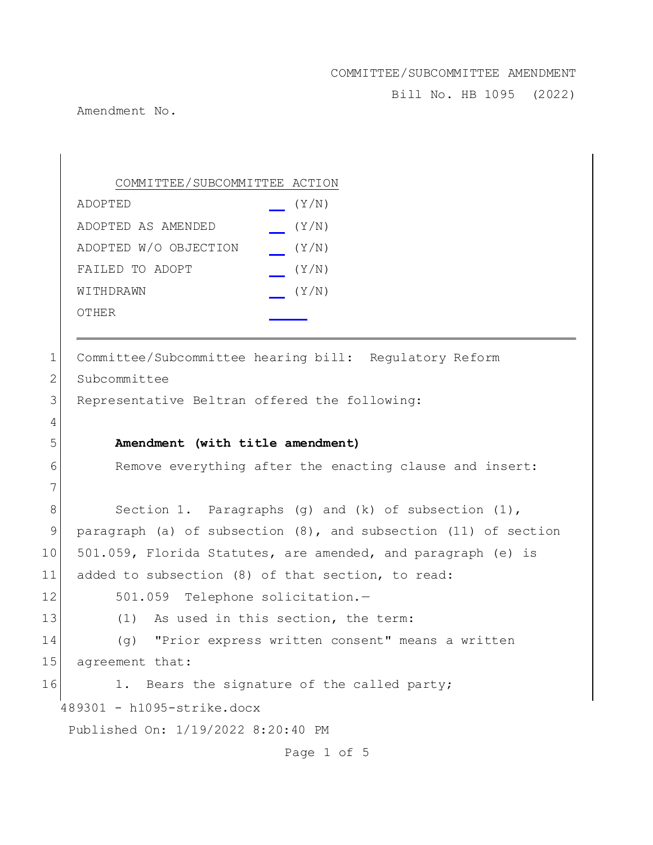Bill No. HB 1095 (2022)

Amendment No.

489301 - h1095-strike.docx Published On: 1/19/2022 8:20:40 PM COMMITTEE/SUBCOMMITTEE ACTION ADOPTED (Y/N) ADOPTED AS AMENDED (Y/N) ADOPTED W/O OBJECTION (Y/N) FAILED TO ADOPT  $(Y/N)$  $W1$ THDRAWN  $(Y/N)$ OTHER 1 Committee/Subcommittee hearing bill: Regulatory Reform 2 Subcommittee 3 Representative Beltran offered the following: 4 5 **Amendment (with title amendment)** 6 Remove everything after the enacting clause and insert: 7 8 Section 1. Paragraphs (g) and (k) of subsection (1), 9 paragraph (a) of subsection (8), and subsection (11) of section 10 501.059, Florida Statutes, are amended, and paragraph (e) is 11 added to subsection (8) of that section, to read: 12 501.059 Telephone solicitation.-13 (1) As used in this section, the term: 14 (g) "Prior express written consent" means a written 15 agreement that: 16 1. Bears the signature of the called party;

Page 1 of 5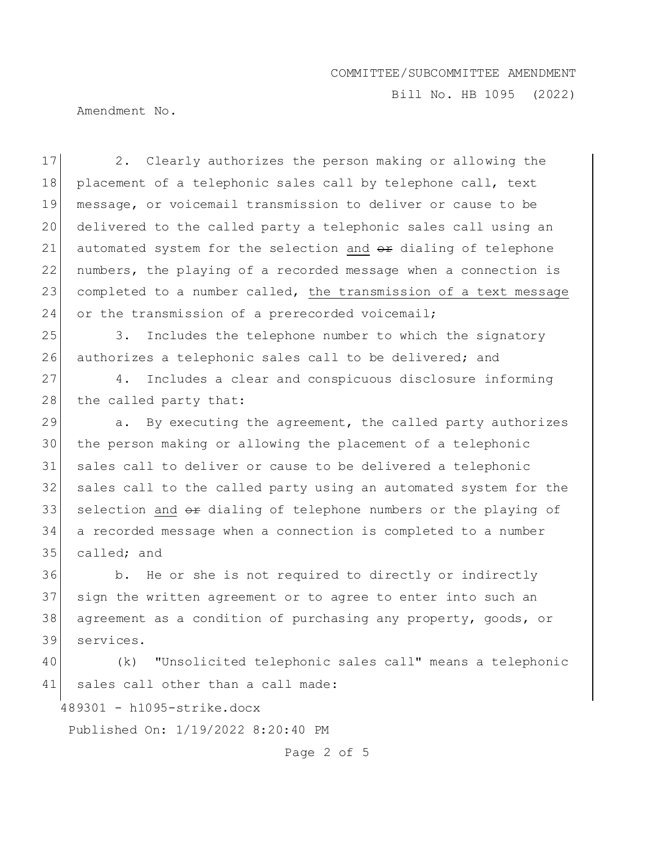Bill No. HB 1095 (2022)

Amendment No.

17 2. Clearly authorizes the person making or allowing the 18 placement of a telephonic sales call by telephone call, text 19 message, or voicemail transmission to deliver or cause to be 20 delivered to the called party a telephonic sales call using an 21 automated system for the selection and  $\Theta$ re dialing of telephone 22 numbers, the playing of a recorded message when a connection is 23 completed to a number called, the transmission of a text message 24 or the transmission of a prerecorded voicemail;

25 3. Includes the telephone number to which the signatory 26 authorizes a telephonic sales call to be delivered; and

27 4. Includes a clear and conspicuous disclosure informing 28 the called party that:

 $\vert$  a. By executing the agreement, the called party authorizes the person making or allowing the placement of a telephonic sales call to deliver or cause to be delivered a telephonic sales call to the called party using an automated system for the selection and  $\theta$  dialing of telephone numbers or the playing of a recorded message when a connection is completed to a number 35 called; and

36 b. He or she is not required to directly or indirectly 37 sign the written agreement or to agree to enter into such an 38 agreement as a condition of purchasing any property, goods, or 39 services.

40 (k) "Unsolicited telephonic sales call" means a telephonic 41 sales call other than a call made:

489301 - h1095-strike.docx

Published On: 1/19/2022 8:20:40 PM

Page 2 of 5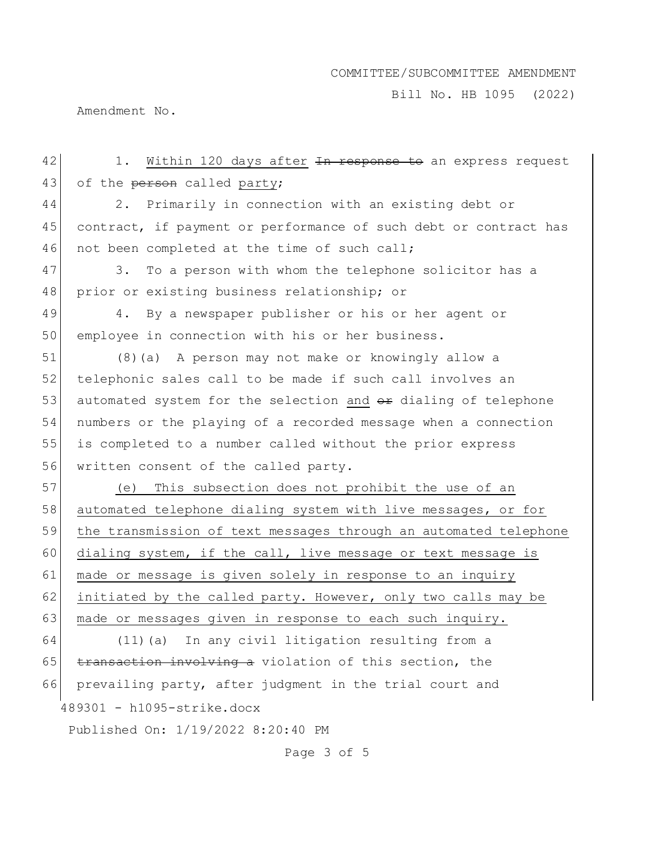Bill No. HB 1095 (2022)

Amendment No.

489301 - h1095-strike.docx Published On: 1/19/2022 8:20:40 PM 42 1. Within 120 days after In response to an express request 43 of the person called party; 44 2. Primarily in connection with an existing debt or 45 contract, if payment or performance of such debt or contract has 46 not been completed at the time of such call; 47 3. To a person with whom the telephone solicitor has a 48 prior or existing business relationship; or 49 4. By a newspaper publisher or his or her agent or 50 employee in connection with his or her business. 51 (8)(a) A person may not make or knowingly allow a 52 telephonic sales call to be made if such call involves an 53 automated system for the selection and  $\theta$ re dialing of telephone 54 numbers or the playing of a recorded message when a connection 55 is completed to a number called without the prior express 56 written consent of the called party. 57 (e) This subsection does not prohibit the use of an 58 automated telephone dialing system with live messages, or for 59 the transmission of text messages through an automated telephone 60 dialing system, if the call, live message or text message is 61 made or message is given solely in response to an inquiry 62 initiated by the called party. However, only two calls may be 63 made or messages given in response to each such inquiry. 64 (11)(a) In any civil litigation resulting from a 65  $t$  transaction involving a violation of this section, the 66 prevailing party, after judgment in the trial court and

Page 3 of 5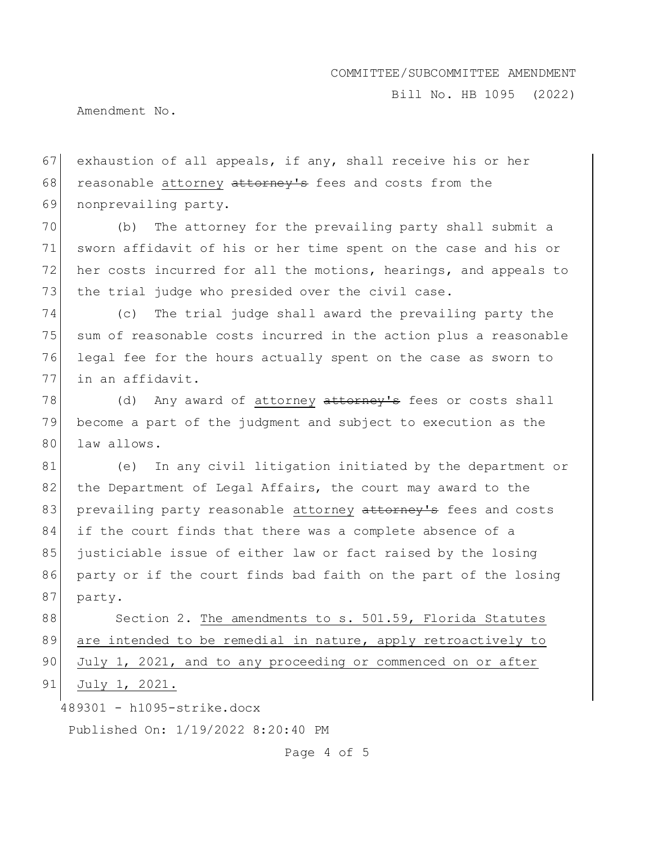Bill No. HB 1095 (2022)

Amendment No.

67 exhaustion of all appeals, if any, shall receive his or her 68 reasonable attorney attorney's fees and costs from the 69 nonprevailing party.

70 (b) The attorney for the prevailing party shall submit a 71 sworn affidavit of his or her time spent on the case and his or 72 her costs incurred for all the motions, hearings, and appeals to 73 the trial judge who presided over the civil case.

 (c) The trial judge shall award the prevailing party the sum of reasonable costs incurred in the action plus a reasonable legal fee for the hours actually spent on the case as sworn to 77 in an affidavit.

78 (d) Any award of attorney attorney's fees or costs shall 79 become a part of the judgment and subject to execution as the 80 law allows.

81 (e) In any civil litigation initiated by the department or 82 the Department of Legal Affairs, the court may award to the 83 prevailing party reasonable attorney attorney's fees and costs 84 if the court finds that there was a complete absence of a 85 justiciable issue of either law or fact raised by the losing 86 party or if the court finds bad faith on the part of the losing 87 party.

88 Section 2. The amendments to s. 501.59, Florida Statutes 89 are intended to be remedial in nature, apply retroactively to 90 July 1, 2021, and to any proceeding or commenced on or after 91 July 1, 2021.

489301 - h1095-strike.docx

Published On: 1/19/2022 8:20:40 PM

Page 4 of 5